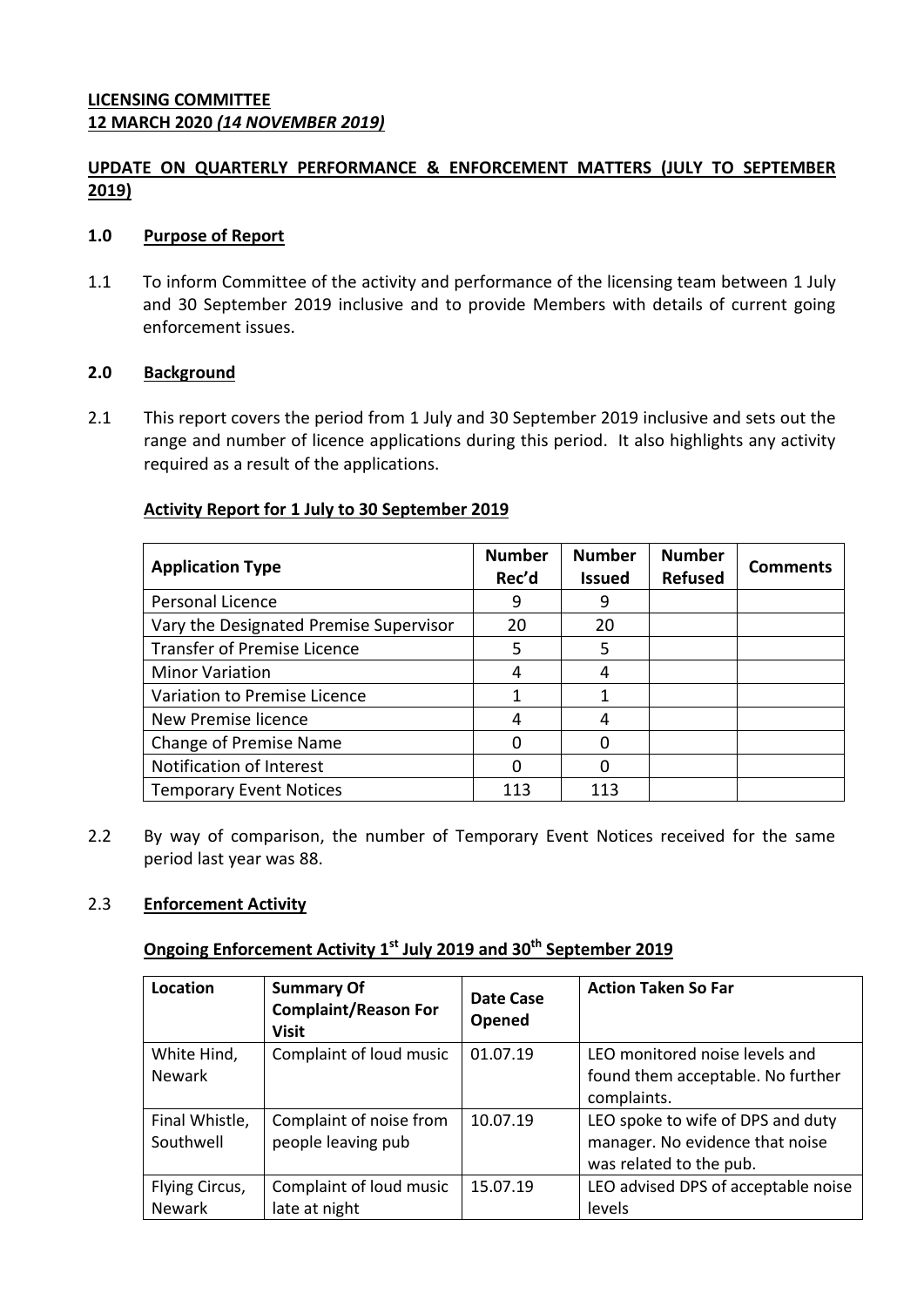## **UPDATE ON QUARTERLY PERFORMANCE & ENFORCEMENT MATTERS (JULY TO SEPTEMBER 2019)**

### **1.0 Purpose of Report**

1.1 To inform Committee of the activity and performance of the licensing team between 1 July and 30 September 2019 inclusive and to provide Members with details of current going enforcement issues.

### **2.0 Background**

2.1 This report covers the period from 1 July and 30 September 2019 inclusive and sets out the range and number of licence applications during this period. It also highlights any activity required as a result of the applications.

#### **Activity Report for 1 July to 30 September 2019**

| <b>Application Type</b>                | <b>Number</b><br>Rec'd | <b>Number</b><br><b>Issued</b> | <b>Number</b><br><b>Refused</b> | <b>Comments</b> |
|----------------------------------------|------------------------|--------------------------------|---------------------------------|-----------------|
| Personal Licence                       | 9                      |                                |                                 |                 |
| Vary the Designated Premise Supervisor | 20                     | 20                             |                                 |                 |
| <b>Transfer of Premise Licence</b>     | 5                      | 5                              |                                 |                 |
| <b>Minor Variation</b>                 | 4                      | 4                              |                                 |                 |
| Variation to Premise Licence           |                        |                                |                                 |                 |
| New Premise licence                    | 4                      |                                |                                 |                 |
| Change of Premise Name                 | n                      |                                |                                 |                 |
| Notification of Interest               | O                      |                                |                                 |                 |
| <b>Temporary Event Notices</b>         | 113                    | 113                            |                                 |                 |

2.2 By way of comparison, the number of Temporary Event Notices received for the same period last year was 88.

## 2.3 **Enforcement Activity**

# **Ongoing Enforcement Activity 1 st July 2019 and 30 th September 2019**

| Location       | <b>Summary Of</b><br><b>Complaint/Reason For</b><br><b>Visit</b> | Date Case<br>Opened | <b>Action Taken So Far</b>          |
|----------------|------------------------------------------------------------------|---------------------|-------------------------------------|
| White Hind,    | Complaint of loud music                                          | 01.07.19            | LEO monitored noise levels and      |
| <b>Newark</b>  |                                                                  |                     | found them acceptable. No further   |
|                |                                                                  |                     | complaints.                         |
| Final Whistle, | Complaint of noise from                                          | 10.07.19            | LEO spoke to wife of DPS and duty   |
| Southwell      | people leaving pub                                               |                     | manager. No evidence that noise     |
|                |                                                                  |                     | was related to the pub.             |
| Flying Circus, | Complaint of loud music                                          | 15.07.19            | LEO advised DPS of acceptable noise |
| <b>Newark</b>  | late at night                                                    |                     | levels                              |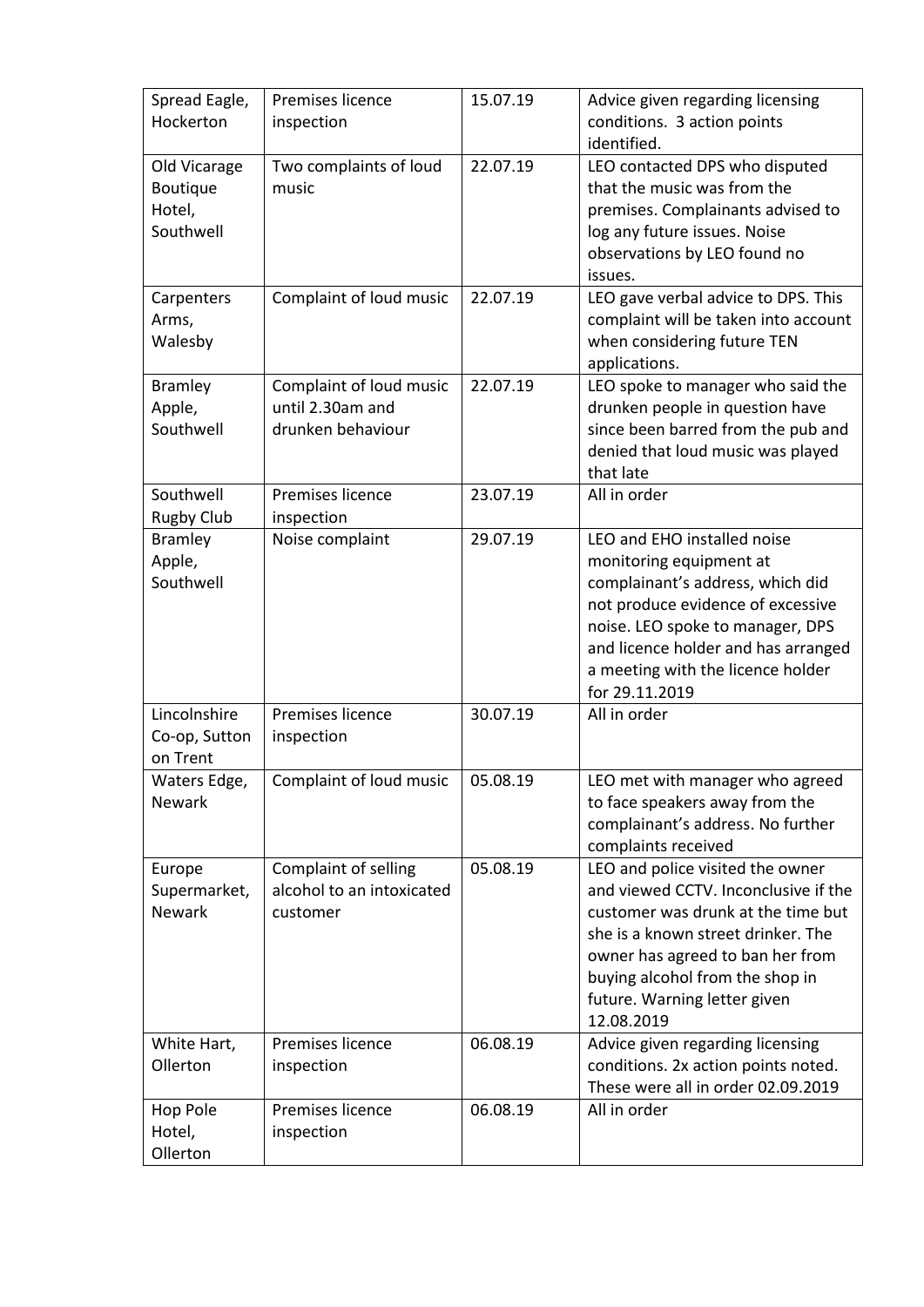| Spread Eagle,<br>Hockerton                      | Premises licence<br>inspection                                   | 15.07.19 | Advice given regarding licensing<br>conditions. 3 action points<br>identified.                                                                                                                                                                                            |
|-------------------------------------------------|------------------------------------------------------------------|----------|---------------------------------------------------------------------------------------------------------------------------------------------------------------------------------------------------------------------------------------------------------------------------|
| Old Vicarage<br>Boutique<br>Hotel,<br>Southwell | Two complaints of loud<br>music                                  | 22.07.19 | LEO contacted DPS who disputed<br>that the music was from the<br>premises. Complainants advised to<br>log any future issues. Noise<br>observations by LEO found no<br>issues.                                                                                             |
| Carpenters<br>Arms,<br>Walesby                  | Complaint of loud music                                          | 22.07.19 | LEO gave verbal advice to DPS. This<br>complaint will be taken into account<br>when considering future TEN<br>applications.                                                                                                                                               |
| <b>Bramley</b><br>Apple,<br>Southwell           | Complaint of loud music<br>until 2.30am and<br>drunken behaviour | 22.07.19 | LEO spoke to manager who said the<br>drunken people in question have<br>since been barred from the pub and<br>denied that loud music was played<br>that late                                                                                                              |
| Southwell<br><b>Rugby Club</b>                  | Premises licence<br>inspection                                   | 23.07.19 | All in order                                                                                                                                                                                                                                                              |
| <b>Bramley</b><br>Apple,<br>Southwell           | Noise complaint                                                  | 29.07.19 | LEO and EHO installed noise<br>monitoring equipment at<br>complainant's address, which did<br>not produce evidence of excessive<br>noise. LEO spoke to manager, DPS<br>and licence holder and has arranged<br>a meeting with the licence holder<br>for 29.11.2019         |
| Lincolnshire<br>Co-op, Sutton<br>on Trent       | Premises licence<br>inspection                                   | 30.07.19 | All in order                                                                                                                                                                                                                                                              |
| Waters Edge,<br><b>Newark</b>                   | Complaint of loud music                                          | 05.08.19 | LEO met with manager who agreed<br>to face speakers away from the<br>complainant's address. No further<br>complaints received                                                                                                                                             |
| Europe<br>Supermarket,<br><b>Newark</b>         | Complaint of selling<br>alcohol to an intoxicated<br>customer    | 05.08.19 | LEO and police visited the owner<br>and viewed CCTV. Inconclusive if the<br>customer was drunk at the time but<br>she is a known street drinker. The<br>owner has agreed to ban her from<br>buying alcohol from the shop in<br>future. Warning letter given<br>12.08.2019 |
| White Hart,<br>Ollerton                         | Premises licence<br>inspection                                   | 06.08.19 | Advice given regarding licensing<br>conditions. 2x action points noted.<br>These were all in order 02.09.2019                                                                                                                                                             |
| Hop Pole<br>Hotel,<br>Ollerton                  | Premises licence<br>inspection                                   | 06.08.19 | All in order                                                                                                                                                                                                                                                              |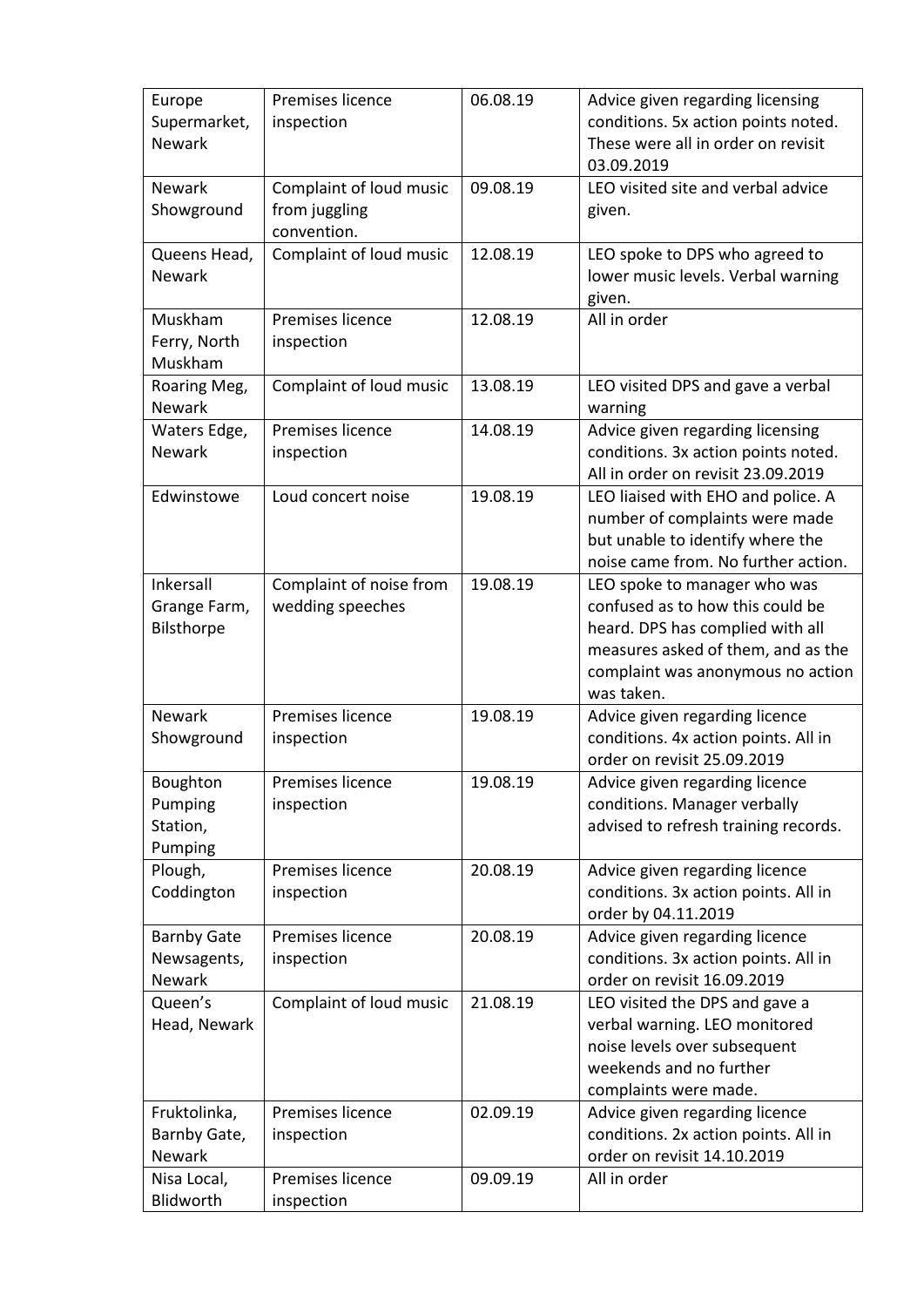| Europe<br>Supermarket,<br><b>Newark</b>            | Premises licence<br>inspection                          | 06.08.19 | Advice given regarding licensing<br>conditions. 5x action points noted.<br>These were all in order on revisit<br>03.09.2019                                                                   |
|----------------------------------------------------|---------------------------------------------------------|----------|-----------------------------------------------------------------------------------------------------------------------------------------------------------------------------------------------|
| <b>Newark</b><br>Showground                        | Complaint of loud music<br>from juggling<br>convention. | 09.08.19 | LEO visited site and verbal advice<br>given.                                                                                                                                                  |
| Queens Head,<br><b>Newark</b>                      | Complaint of loud music                                 | 12.08.19 | LEO spoke to DPS who agreed to<br>lower music levels. Verbal warning<br>given.                                                                                                                |
| Muskham<br>Ferry, North<br>Muskham                 | Premises licence<br>inspection                          | 12.08.19 | All in order                                                                                                                                                                                  |
| Roaring Meg,<br><b>Newark</b>                      | Complaint of loud music                                 | 13.08.19 | LEO visited DPS and gave a verbal<br>warning                                                                                                                                                  |
| Waters Edge,<br><b>Newark</b>                      | Premises licence<br>inspection                          | 14.08.19 | Advice given regarding licensing<br>conditions. 3x action points noted.<br>All in order on revisit 23.09.2019                                                                                 |
| Edwinstowe                                         | Loud concert noise                                      | 19.08.19 | LEO liaised with EHO and police. A<br>number of complaints were made<br>but unable to identify where the<br>noise came from. No further action.                                               |
| Inkersall<br>Grange Farm,<br>Bilsthorpe            | Complaint of noise from<br>wedding speeches             | 19.08.19 | LEO spoke to manager who was<br>confused as to how this could be<br>heard. DPS has complied with all<br>measures asked of them, and as the<br>complaint was anonymous no action<br>was taken. |
| <b>Newark</b><br>Showground                        | Premises licence<br>inspection                          | 19.08.19 | Advice given regarding licence<br>conditions. 4x action points. All in<br>order on revisit 25.09.2019                                                                                         |
| Boughton<br>Pumping<br>Station,<br>Pumping         | Premises licence<br>inspection                          | 19.08.19 | Advice given regarding licence<br>conditions. Manager verbally<br>advised to refresh training records.                                                                                        |
| Plough,<br>Coddington                              | Premises licence<br>inspection                          | 20.08.19 | Advice given regarding licence<br>conditions. 3x action points. All in<br>order by 04.11.2019                                                                                                 |
| <b>Barnby Gate</b><br>Newsagents,<br><b>Newark</b> | Premises licence<br>inspection                          | 20.08.19 | Advice given regarding licence<br>conditions. 3x action points. All in<br>order on revisit 16.09.2019                                                                                         |
| Queen's<br>Head, Newark                            | Complaint of loud music                                 | 21.08.19 | LEO visited the DPS and gave a<br>verbal warning. LEO monitored<br>noise levels over subsequent<br>weekends and no further<br>complaints were made.                                           |
| Fruktolinka,<br>Barnby Gate,<br>Newark             | Premises licence<br>inspection                          | 02.09.19 | Advice given regarding licence<br>conditions. 2x action points. All in<br>order on revisit 14.10.2019                                                                                         |
| Nisa Local,<br>Blidworth                           | Premises licence<br>inspection                          | 09.09.19 | All in order                                                                                                                                                                                  |